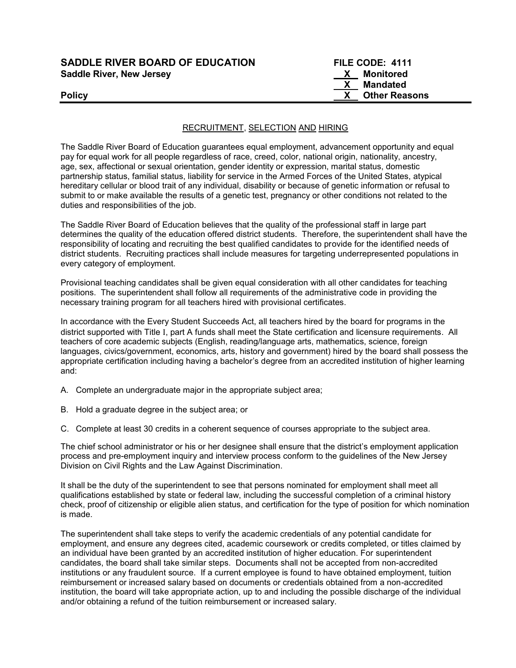| <b>SADDLE RIVER BOARD OF EDUCATION</b> | FILE CODE: 4111      |
|----------------------------------------|----------------------|
| <b>Saddle River, New Jersey</b>        | Monitored<br>X.      |
|                                        | Mandated             |
| <b>Policy</b>                          | <b>Other Reasons</b> |
|                                        |                      |

## RECRUITMENT, SELECTION AND HIRING

The Saddle River Board of Education guarantees equal employment, advancement opportunity and equal pay for equal work for all people regardless of race, creed, color, national origin, nationality, ancestry, age, sex, affectional or sexual orientation, gender identity or expression, marital status, domestic partnership status, familial status, liability for service in the Armed Forces of the United States, atypical hereditary cellular or blood trait of any individual, disability or because of genetic information or refusal to submit to or make available the results of a genetic test, pregnancy or other conditions not related to the duties and responsibilities of the job.

The Saddle River Board of Education believes that the quality of the professional staff in large part determines the quality of the education offered district students. Therefore, the superintendent shall have the responsibility of locating and recruiting the best qualified candidates to provide for the identified needs of district students. Recruiting practices shall include measures for targeting underrepresented populations in every category of employment.

Provisional teaching candidates shall be given equal consideration with all other candidates for teaching positions. The superintendent shall follow all requirements of the administrative code in providing the necessary training program for all teachers hired with provisional certificates.

In accordance with the Every Student Succeeds Act, all teachers hired by the board for programs in the district supported with Title I, part A funds shall meet the State certification and licensure requirements. All teachers of core academic subjects (English, reading/language arts, mathematics, science, foreign languages, civics/government, economics, arts, history and government) hired by the board shall possess the appropriate certification including having a bachelor's degree from an accredited institution of higher learning and:

- A. Complete an undergraduate major in the appropriate subject area;
- B. Hold a graduate degree in the subject area; or
- C. Complete at least 30 credits in a coherent sequence of courses appropriate to the subject area.

The chief school administrator or his or her designee shall ensure that the district's employment application process and pre-employment inquiry and interview process conform to the guidelines of the New Jersey Division on Civil Rights and the Law Against Discrimination.

It shall be the duty of the superintendent to see that persons nominated for employment shall meet all qualifications established by state or federal law, including the successful completion of a criminal history check, proof of citizenship or eligible alien status, and certification for the type of position for which nomination is made.

The superintendent shall take steps to verify the academic credentials of any potential candidate for employment, and ensure any degrees cited, academic coursework or credits completed, or titles claimed by an individual have been granted by an accredited institution of higher education. For superintendent candidates, the board shall take similar steps. Documents shall not be accepted from non-accredited institutions or any fraudulent source. If a current employee is found to have obtained employment, tuition reimbursement or increased salary based on documents or credentials obtained from a non-accredited institution, the board will take appropriate action, up to and including the possible discharge of the individual and/or obtaining a refund of the tuition reimbursement or increased salary.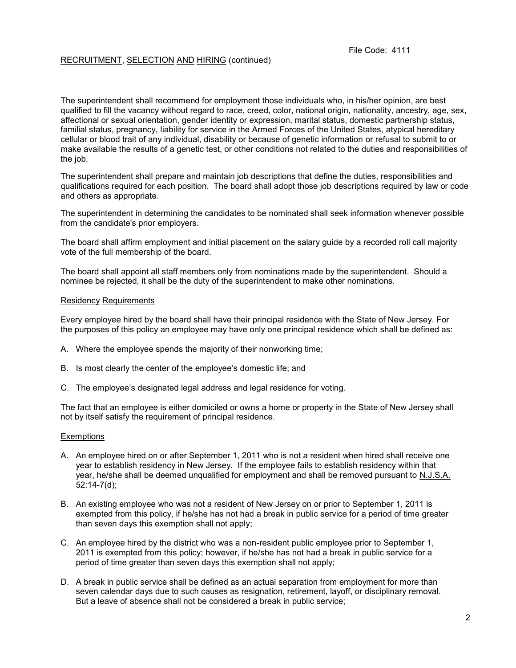# RECRUITMENT, SELECTION AND HIRING (continued)

The superintendent shall recommend for employment those individuals who, in his/her opinion, are best qualified to fill the vacancy without regard to race, creed, color, national origin, nationality, ancestry, age, sex, affectional or sexual orientation, gender identity or expression, marital status, domestic partnership status, familial status, pregnancy, liability for service in the Armed Forces of the United States, atypical hereditary cellular or blood trait of any individual, disability or because of genetic information or refusal to submit to or make available the results of a genetic test, or other conditions not related to the duties and responsibilities of the job.

The superintendent shall prepare and maintain job descriptions that define the duties, responsibilities and qualifications required for each position. The board shall adopt those job descriptions required by law or code and others as appropriate.

The superintendent in determining the candidates to be nominated shall seek information whenever possible from the candidate's prior employers.

The board shall affirm employment and initial placement on the salary guide by a recorded roll call majority vote of the full membership of the board.

The board shall appoint all staff members only from nominations made by the superintendent. Should a nominee be rejected, it shall be the duty of the superintendent to make other nominations.

#### Residency Requirements

Every employee hired by the board shall have their principal residence with the State of New Jersey. For the purposes of this policy an employee may have only one principal residence which shall be defined as:

- A. Where the employee spends the majority of their nonworking time;
- B. Is most clearly the center of the employee's domestic life; and
- C. The employee's designated legal address and legal residence for voting.

The fact that an employee is either domiciled or owns a home or property in the State of New Jersey shall not by itself satisfy the requirement of principal residence.

## **Exemptions**

- A. An employee hired on or after September 1, 2011 who is not a resident when hired shall receive one year to establish residency in New Jersey. If the employee fails to establish residency within that year, he/she shall be deemed unqualified for employment and shall be removed pursuant to N.J.S.A. 52:14-7(d);
- B. An existing employee who was not a resident of New Jersey on or prior to September 1, 2011 is exempted from this policy, if he/she has not had a break in public service for a period of time greater than seven days this exemption shall not apply;
- C. An employee hired by the district who was a non-resident public employee prior to September 1, 2011 is exempted from this policy; however, if he/she has not had a break in public service for a period of time greater than seven days this exemption shall not apply;
- D. A break in public service shall be defined as an actual separation from employment for more than seven calendar days due to such causes as resignation, retirement, layoff, or disciplinary removal. But a leave of absence shall not be considered a break in public service;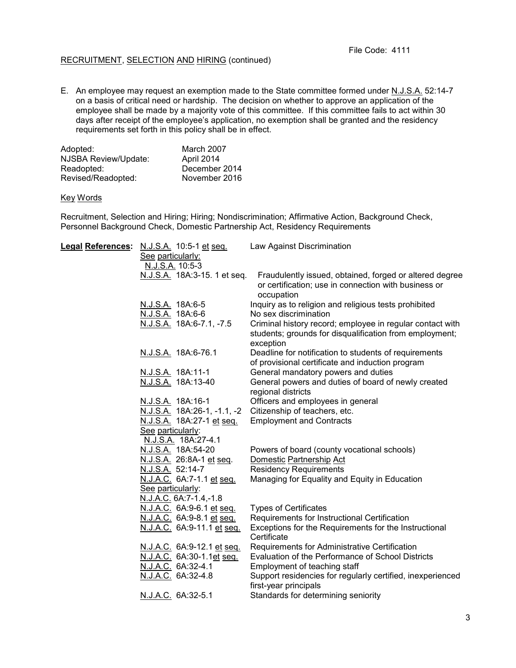## RECRUITMENT, SELECTION AND HIRING (continued)

E. An employee may request an exemption made to the State committee formed under N.J.S.A. 52:14-7 on a basis of critical need or hardship. The decision on whether to approve an application of the employee shall be made by a majority vote of this committee. If this committee fails to act within 30 days after receipt of the employee's application, no exemption shall be granted and the residency requirements set forth in this policy shall be in effect.

| Adopted:             | March 2007    |
|----------------------|---------------|
| NJSBA Review/Update: | April 2014    |
| Readopted:           | December 2014 |
| Revised/Readopted:   | November 2016 |

#### Key Words

Recruitment, Selection and Hiring; Hiring; Nondiscrimination; Affirmative Action, Background Check, Personnel Background Check, Domestic Partnership Act, Residency Requirements

| Legal References: N.J.S.A. 10:5-1 et seq. | Law Against Discrimination                                 |
|-------------------------------------------|------------------------------------------------------------|
| See particularly:                         |                                                            |
| N.J.S.A. 10:5-3                           |                                                            |
| N.J.S.A. 18A:3-15. 1 et seq.              | Fraudulently issued, obtained, forged or altered degree    |
|                                           | or certification; use in connection with business or       |
|                                           | occupation                                                 |
| N.J.S.A. 18A:6-5                          | Inquiry as to religion and religious tests prohibited      |
| N.J.S.A. 18A:6-6                          | No sex discrimination                                      |
| N.J.S.A. 18A:6-7.1, -7.5                  | Criminal history record; employee in regular contact with  |
|                                           | students; grounds for disqualification from employment;    |
|                                           | exception                                                  |
| N.J.S.A. 18A:6-76.1                       | Deadline for notification to students of requirements      |
|                                           | of provisional certificate and induction program           |
| N.J.S.A. 18A:11-1                         | General mandatory powers and duties                        |
| N.J.S.A. 18A:13-40                        | General powers and duties of board of newly created        |
|                                           | regional districts                                         |
| N.J.S.A. 18A:16-1                         | Officers and employees in general                          |
| N.J.S.A. 18A:26-1, -1.1, -2               | Citizenship of teachers, etc.                              |
| N.J.S.A. 18A:27-1 et seq.                 | <b>Employment and Contracts</b>                            |
| See particularly:                         |                                                            |
| N.J.S.A. 18A:27-4.1                       |                                                            |
| N.J.S.A. 18A:54-20                        | Powers of board (county vocational schools)                |
| N.J.S.A. 26:8A-1 et seq.                  | Domestic Partnership Act                                   |
| N.J.S.A. 52:14-7                          | <b>Residency Requirements</b>                              |
| N.J.A.C. 6A:7-1.1 et seq.                 | Managing for Equality and Equity in Education              |
| See particularly:                         |                                                            |
| N.J.A.C. 6A:7-1.4,-1.8                    |                                                            |
| N.J.A.C. 6A:9-6.1 et seq.                 | <b>Types of Certificates</b>                               |
| N.J.A.C. 6A:9-8.1 et seq.                 | Requirements for Instructional Certification               |
| N.J.A.C. 6A:9-11.1 et seq.                | Exceptions for the Requirements for the Instructional      |
|                                           | Certificate                                                |
| N.J.A.C. 6A:9-12.1 et seq.                | Requirements for Administrative Certification              |
| N.J.A.C. 6A:30-1.1et seq.                 | Evaluation of the Performance of School Districts          |
| N.J.A.C. 6A:32-4.1                        | Employment of teaching staff                               |
| N.J.A.C. 6A:32-4.8                        | Support residencies for regularly certified, inexperienced |
|                                           | first-year principals                                      |
| N.J.A.C. 6A:32-5.1                        | Standards for determining seniority                        |
|                                           |                                                            |